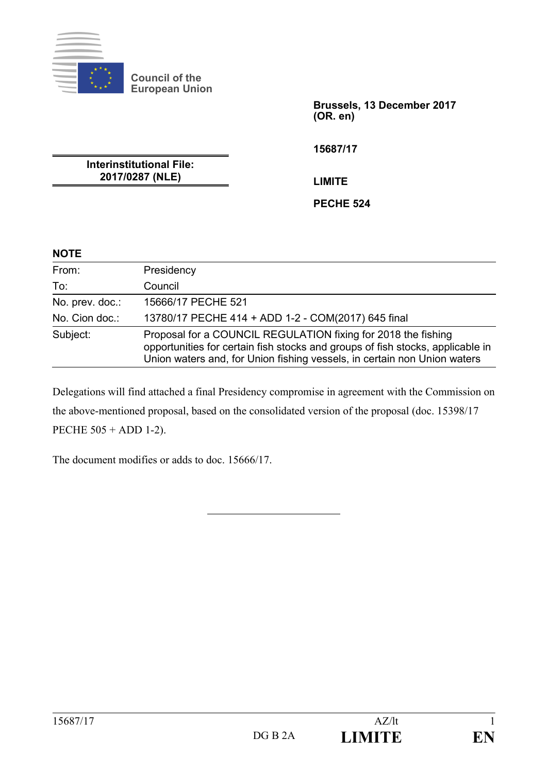

**Council of the European Union**

> **Brussels, 13 December 2017 (OR. en)**

**15687/17**

**Interinstitutional File: 2017/0287 (NLE)**

**LIMITE**

**PECHE 524**

### **NOTE**

| From:           | Presidency                                                                                                                                                                                                                  |  |  |  |  |
|-----------------|-----------------------------------------------------------------------------------------------------------------------------------------------------------------------------------------------------------------------------|--|--|--|--|
| To:             | Council                                                                                                                                                                                                                     |  |  |  |  |
| No. prev. doc.: | 15666/17 PECHE 521                                                                                                                                                                                                          |  |  |  |  |
| No. Cion doc.:  | 13780/17 PECHE 414 + ADD 1-2 - COM(2017) 645 final                                                                                                                                                                          |  |  |  |  |
| Subject:        | Proposal for a COUNCIL REGULATION fixing for 2018 the fishing<br>opportunities for certain fish stocks and groups of fish stocks, applicable in<br>Union waters and, for Union fishing vessels, in certain non Union waters |  |  |  |  |

Delegations will find attached a final Presidency compromise in agreement with the Commission on the above-mentioned proposal, based on the consolidated version of the proposal (doc. 15398/17 PECHE 505 + ADD 1-2).

The document modifies or adds to doc. 15666/17.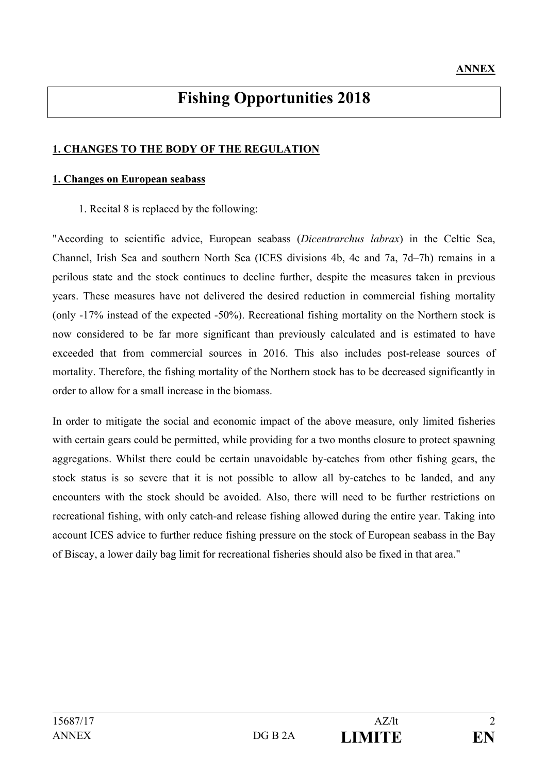# **Fishing Opportunities 2018**

### **1. CHANGES TO THE BODY OF THE REGULATION**

#### **1. Changes on European seabass**

1. Recital 8 is replaced by the following:

"According to scientific advice, European seabass (*Dicentrarchus labrax*) in the Celtic Sea, Channel, Irish Sea and southern North Sea (ICES divisions 4b, 4c and 7a, 7d–7h) remains in a perilous state and the stock continues to decline further, despite the measures taken in previous years. These measures have not delivered the desired reduction in commercial fishing mortality (only -17% instead of the expected -50%). Recreational fishing mortality on the Northern stock is now considered to be far more significant than previously calculated and is estimated to have exceeded that from commercial sources in 2016. This also includes post-release sources of mortality. Therefore, the fishing mortality of the Northern stock has to be decreased significantly in order to allow for a small increase in the biomass.

In order to mitigate the social and economic impact of the above measure, only limited fisheries with certain gears could be permitted, while providing for a two months closure to protect spawning aggregations. Whilst there could be certain unavoidable by-catches from other fishing gears, the stock status is so severe that it is not possible to allow all by-catches to be landed, and any encounters with the stock should be avoided. Also, there will need to be further restrictions on recreational fishing, with only catch-and release fishing allowed during the entire year. Taking into account ICES advice to further reduce fishing pressure on the stock of European seabass in the Bay of Biscay, a lower daily bag limit for recreational fisheries should also be fixed in that area."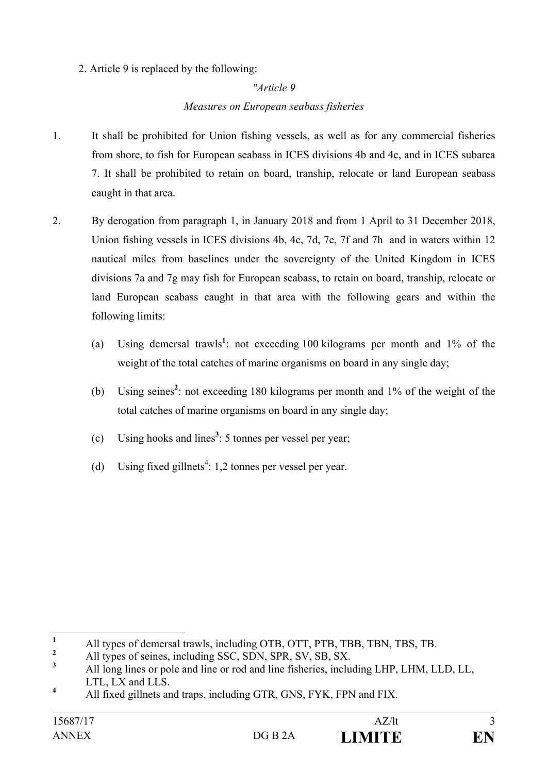2. Article 9 is replaced by the following:

### *"Article 9*

### *Measures on European seabass fisheries*

- 1. It shall be prohibited for Union fishing vessels, as well as for any commercial fisheries from shore, to fish for European seabass in ICES divisions 4b and 4c, and in ICES subarea 7. It shall be prohibited to retain on board, tranship, relocate or land European seabass caught in that area.
- 2. By derogation from paragraph 1, in January 2018 and from 1 April to 31 December 2018, Union fishing vessels in ICES divisions 4b, 4c, 7d, 7e, 7f and 7h and in waters within 12 nautical miles from baselines under the sovereignty of the United Kingdom in ICES divisions 7a and 7g may fish for European seabass, to retain on board, tranship, relocate or land European seabass caught in that area with the following gears and within the following limits:
	- (a) Using demersal trawls**<sup>1</sup>** : not exceeding 100 kilograms per month and 1% of the weight of the total catches of marine organisms on board in any single day;
	- (b) Using seines**<sup>2</sup>** : not exceeding 180 kilograms per month and 1% of the weight of the total catches of marine organisms on board in any single day;
	- (c) Using hooks and lines**<sup>3</sup>** : 5 tonnes per vessel per year;
	- (d) Using fixed gillnets<sup>4</sup>: 1,2 tonnes per vessel per year.

<sup>&</sup>lt;sup>1</sup> All types of demersal trawls, including OTB, OTT, PTB, TBB, TBN, TBS, TB.

<sup>&</sup>lt;sup>2</sup> All types of seines, including SSC, SDN, SPR, SV, SB, SX.

**<sup>3</sup>** All long lines or pole and line or rod and line fisheries, including LHP, LHM, LLD, LL, LTL, LX and LLS.

**<sup>4</sup>** All fixed gillnets and traps, including GTR, GNS, FYK, FPN and FIX.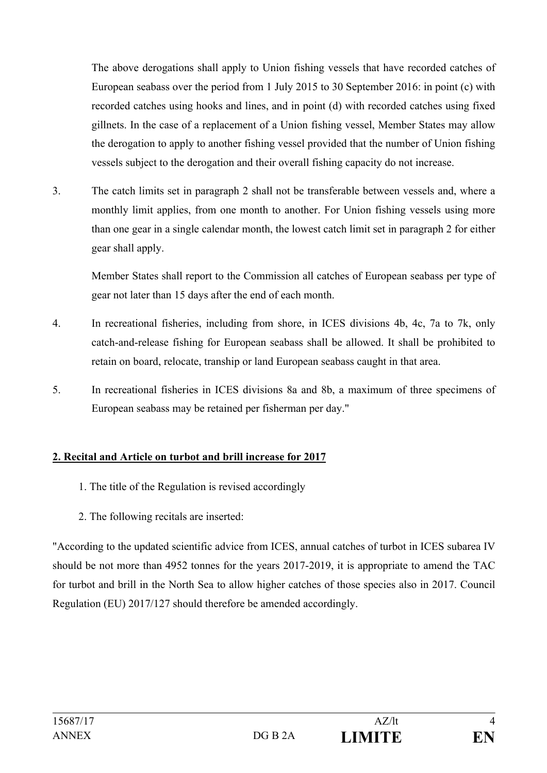The above derogations shall apply to Union fishing vessels that have recorded catches of European seabass over the period from 1 July 2015 to 30 September 2016: in point (c) with recorded catches using hooks and lines, and in point (d) with recorded catches using fixed gillnets. In the case of a replacement of a Union fishing vessel, Member States may allow the derogation to apply to another fishing vessel provided that the number of Union fishing vessels subject to the derogation and their overall fishing capacity do not increase.

3. The catch limits set in paragraph 2 shall not be transferable between vessels and, where a monthly limit applies, from one month to another. For Union fishing vessels using more than one gear in a single calendar month, the lowest catch limit set in paragraph 2 for either gear shall apply.

Member States shall report to the Commission all catches of European seabass per type of gear not later than 15 days after the end of each month.

- 4. In recreational fisheries, including from shore, in ICES divisions 4b, 4c, 7a to 7k, only catch-and-release fishing for European seabass shall be allowed. It shall be prohibited to retain on board, relocate, tranship or land European seabass caught in that area.
- 5. In recreational fisheries in ICES divisions 8a and 8b, a maximum of three specimens of European seabass may be retained per fisherman per day."

### **2. Recital and Article on turbot and brill increase for 2017**

- 1. The title of the Regulation is revised accordingly
- 2. The following recitals are inserted:

"According to the updated scientific advice from ICES, annual catches of turbot in ICES subarea IV should be not more than 4952 tonnes for the years 2017-2019, it is appropriate to amend the TAC for turbot and brill in the North Sea to allow higher catches of those species also in 2017. Council Regulation (EU) 2017/127 should therefore be amended accordingly.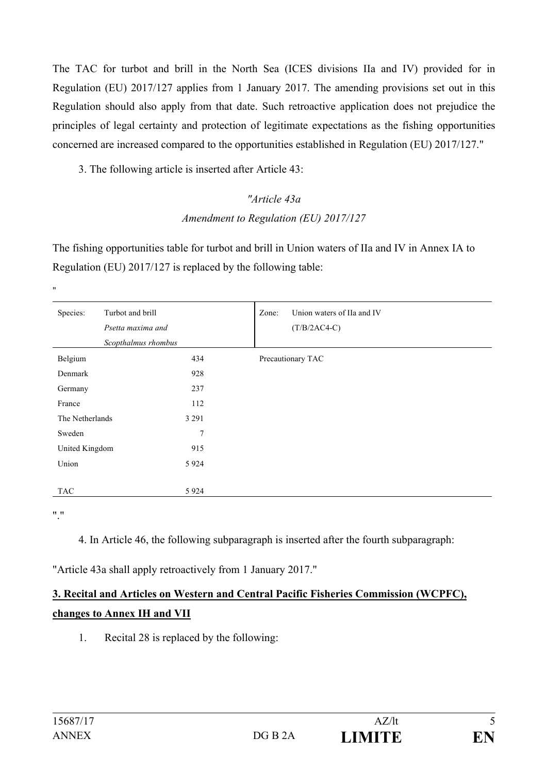The TAC for turbot and brill in the North Sea (ICES divisions IIa and IV) provided for in Regulation (EU) 2017/127 applies from 1 January 2017. The amending provisions set out in this Regulation should also apply from that date. Such retroactive application does not prejudice the principles of legal certainty and protection of legitimate expectations as the fishing opportunities concerned are increased compared to the opportunities established in Regulation (EU) 2017/127."

3. The following article is inserted after Article 43:

# *"Article 43a Amendment to Regulation (EU) 2017/127*

The fishing opportunities table for turbot and brill in Union waters of IIa and IV in Annex IA to Regulation (EU) 2017/127 is replaced by the following table:

| Species:        | Turbot and brill<br>Psetta maxima and<br>Scopthalmus rhombus | Zone:<br>Union waters of IIa and IV<br>$(T/B/2AC4-C)$ |
|-----------------|--------------------------------------------------------------|-------------------------------------------------------|
| Belgium         | 434                                                          | Precautionary TAC                                     |
| Denmark         | 928                                                          |                                                       |
| Germany         | 237                                                          |                                                       |
| France          | 112                                                          |                                                       |
| The Netherlands | 3 2 9 1                                                      |                                                       |
| Sweden          | 7                                                            |                                                       |
| United Kingdom  | 915                                                          |                                                       |
| Union           | 5 9 2 4                                                      |                                                       |
|                 |                                                              |                                                       |
| <b>TAC</b>      | 5 9 2 4                                                      |                                                       |

"."

"

4. In Article 46, the following subparagraph is inserted after the fourth subparagraph:

"Article 43a shall apply retroactively from 1 January 2017."

# **3. Recital and Articles on Western and Central Pacific Fisheries Commission (WCPFC), changes to Annex IH and VII**

1. Recital 28 is replaced by the following: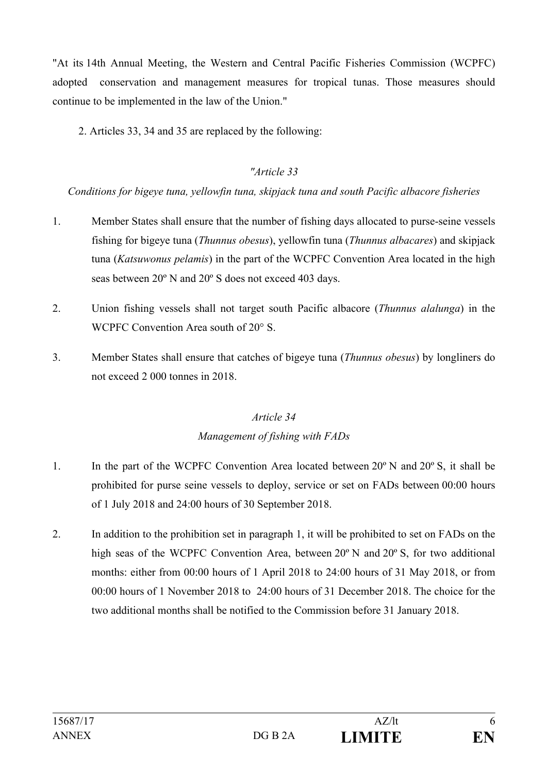"At its 14th Annual Meeting, the Western and Central Pacific Fisheries Commission (WCPFC) adopted conservation and management measures for tropical tunas. Those measures should continue to be implemented in the law of the Union."

2. Articles 33, 34 and 35 are replaced by the following:

### *"Article 33*

### *Conditions for bigeye tuna, yellowfin tuna, skipjack tuna and south Pacific albacore fisheries*

- 1. Member States shall ensure that the number of fishing days allocated to purse-seine vessels fishing for bigeye tuna (*Thunnus obesus*), yellowfin tuna (*Thunnus albacares*) and skipjack tuna (*Katsuwonus pelamis*) in the part of the WCPFC Convention Area located in the high seas between 20º N and 20º S does not exceed 403 days.
- 2. Union fishing vessels shall not target south Pacific albacore (*Thunnus alalunga*) in the WCPFC Convention Area south of 20° S.
- 3. Member States shall ensure that catches of bigeye tuna (*Thunnus obesus*) by longliners do not exceed 2 000 tonnes in 2018.

# *Article 34 Management of fishing with FADs*

- 1. In the part of the WCPFC Convention Area located between 20º N and 20º S, it shall be prohibited for purse seine vessels to deploy, service or set on FADs between 00:00 hours of 1 July 2018 and 24:00 hours of 30 September 2018.
- 2. In addition to the prohibition set in paragraph 1, it will be prohibited to set on FADs on the high seas of the WCPFC Convention Area, between 20<sup>°</sup> N and 20<sup>°</sup> S, for two additional months: either from 00:00 hours of 1 April 2018 to 24:00 hours of 31 May 2018, or from 00:00 hours of 1 November 2018 to 24:00 hours of 31 December 2018. The choice for the two additional months shall be notified to the Commission before 31 January 2018.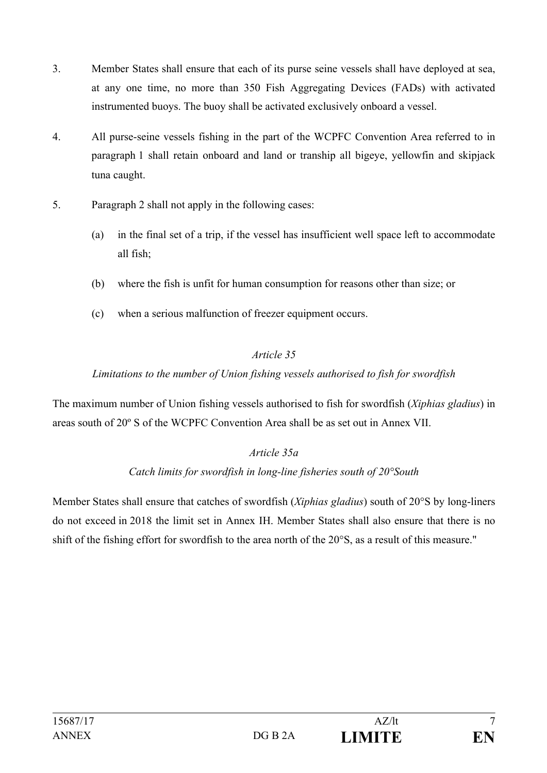- 3. Member States shall ensure that each of its purse seine vessels shall have deployed at sea, at any one time, no more than 350 Fish Aggregating Devices (FADs) with activated instrumented buoys. The buoy shall be activated exclusively onboard a vessel.
- 4. All purse-seine vessels fishing in the part of the WCPFC Convention Area referred to in paragraph 1 shall retain onboard and land or tranship all bigeye, yellowfin and skipjack tuna caught.
- 5. Paragraph 2 shall not apply in the following cases:
	- (a) in the final set of a trip, if the vessel has insufficient well space left to accommodate all fish;
	- (b) where the fish is unfit for human consumption for reasons other than size; or
	- (c) when a serious malfunction of freezer equipment occurs.

### *Article 35*

### *Limitations to the number of Union fishing vessels authorised to fish for swordfish*

The maximum number of Union fishing vessels authorised to fish for swordfish (*Xiphias gladius*) in areas south of 20º S of the WCPFC Convention Area shall be as set out in Annex VII.

### *Article 35a*

#### *Catch limits for swordfish in long-line fisheries south of 20°South*

Member States shall ensure that catches of swordfish (*Xiphias gladius*) south of 20°S by long-liners do not exceed in 2018 the limit set in Annex IH. Member States shall also ensure that there is no shift of the fishing effort for swordfish to the area north of the 20°S, as a result of this measure."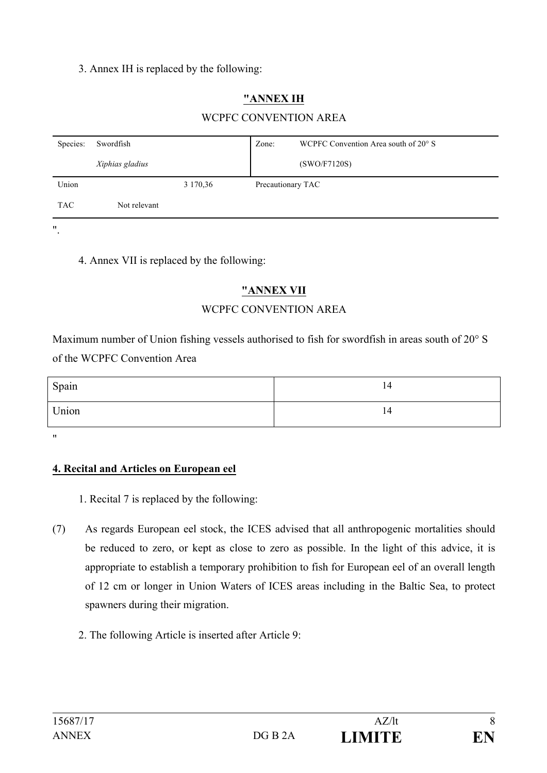### 3. Annex IH is replaced by the following:

# **"ANNEX IH**

### WCPFC CONVENTION AREA

| Species:   | Swordfish       |          | Zone:             | WCPFC Convention Area south of 20° S |
|------------|-----------------|----------|-------------------|--------------------------------------|
|            | Xiphias gladius |          |                   | (SWO/F7120S)                         |
| Union      |                 | 3 170,36 | Precautionary TAC |                                      |
| <b>TAC</b> | Not relevant    |          |                   |                                      |

".

4. Annex VII is replaced by the following:

### **"ANNEX VII**

### WCPFC CONVENTION AREA

Maximum number of Union fishing vessels authorised to fish for swordfish in areas south of 20° S of the WCPFC Convention Area

| Spain | 14 |
|-------|----|
| Union | 14 |

"

#### **4. Recital and Articles on European eel**

- 1. Recital 7 is replaced by the following:
- (7) As regards European eel stock, the ICES advised that all anthropogenic mortalities should be reduced to zero, or kept as close to zero as possible. In the light of this advice, it is appropriate to establish a temporary prohibition to fish for European eel of an overall length of 12 cm or longer in Union Waters of ICES areas including in the Baltic Sea, to protect spawners during their migration.
	- 2. The following Article is inserted after Article 9: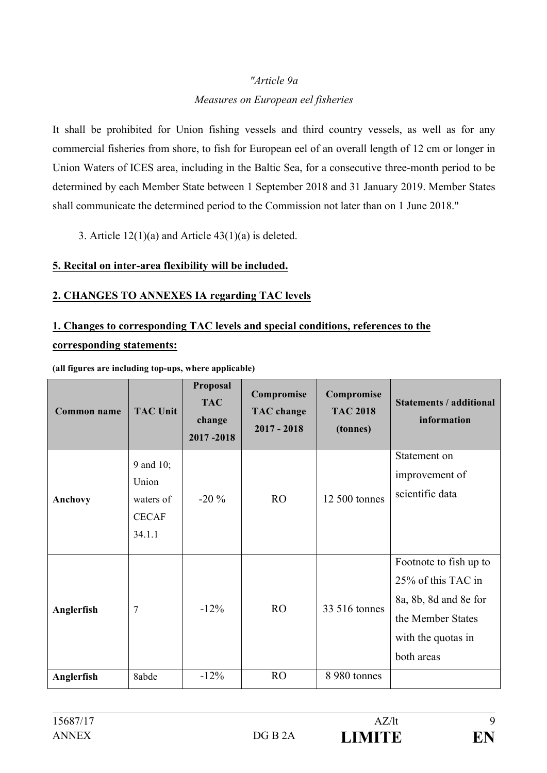#### *"Article 9a*

#### *Measures on European eel fisheries*

It shall be prohibited for Union fishing vessels and third country vessels, as well as for any commercial fisheries from shore, to fish for European eel of an overall length of 12 cm or longer in Union Waters of ICES area, including in the Baltic Sea, for a consecutive three-month period to be determined by each Member State between 1 September 2018 and 31 January 2019. Member States shall communicate the determined period to the Commission not later than on 1 June 2018."

3. Article  $12(1)(a)$  and Article  $43(1)(a)$  is deleted.

#### **5. Recital on inter-area flexibility will be included.**

### **2. CHANGES TO ANNEXES IA regarding TAC levels**

## **1. Changes to corresponding TAC levels and special conditions, references to the corresponding statements:**

| Common name | <b>TAC Unit</b>                                           | Proposal<br><b>TAC</b><br>change<br>2017-2018 | Compromise<br><b>TAC</b> change<br>$2017 - 2018$ | Compromise<br><b>TAC 2018</b><br>(tonnes) | <b>Statements / additional</b><br>information                                                                                  |
|-------------|-----------------------------------------------------------|-----------------------------------------------|--------------------------------------------------|-------------------------------------------|--------------------------------------------------------------------------------------------------------------------------------|
| Anchovy     | 9 and 10;<br>Union<br>waters of<br><b>CECAF</b><br>34.1.1 | $-20\%$                                       | R <sub>O</sub>                                   | 12 500 tonnes                             | Statement on<br>improvement of<br>scientific data                                                                              |
| Anglerfish  | $\overline{7}$                                            | $-12\%$                                       | R <sub>O</sub>                                   | 33 516 tonnes                             | Footnote to fish up to<br>25% of this TAC in<br>8a, 8b, 8d and 8e for<br>the Member States<br>with the quotas in<br>both areas |
| Anglerfish  | 8abde                                                     | $-12%$                                        | R <sub>O</sub>                                   | 8 980 tonnes                              |                                                                                                                                |

**(all figures are including top-ups, where applicable)**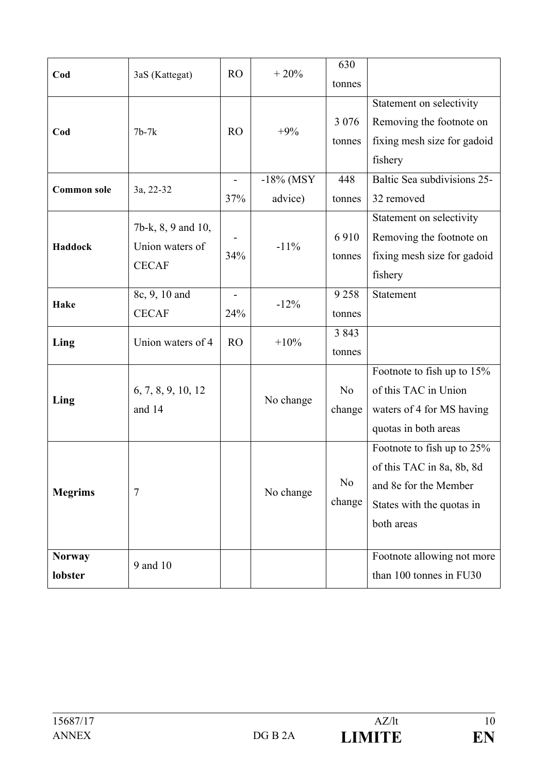| Cod                      | 3aS (Kattegat)                                        | RO             | $+20%$                  | 630<br>tonnes            |                                                                                                                             |
|--------------------------|-------------------------------------------------------|----------------|-------------------------|--------------------------|-----------------------------------------------------------------------------------------------------------------------------|
| Cod                      | $7b-7k$                                               | R <sub>O</sub> | $+9%$                   | 3 0 7 6<br>tonnes        | Statement on selectivity<br>Removing the footnote on<br>fixing mesh size for gadoid<br>fishery                              |
| <b>Common sole</b>       | 3a, 22-32                                             | -<br>37%       | $-18\%$ (MSY<br>advice) | 448<br>tonnes            | Baltic Sea subdivisions 25-<br>32 removed                                                                                   |
| Haddock                  | 7b-k, 8, 9 and 10,<br>Union waters of<br><b>CECAF</b> | 34%            | $-11%$                  | 6910<br>tonnes           | Statement on selectivity<br>Removing the footnote on<br>fixing mesh size for gadoid<br>fishery                              |
| Hake                     | 8c, 9, 10 and<br><b>CECAF</b>                         | 24%            | $-12%$                  | 9258<br>tonnes           | Statement                                                                                                                   |
| Ling                     | Union waters of 4                                     | RO             | $+10%$                  | 3 8 4 3<br>tonnes        |                                                                                                                             |
| Ling                     | 6, 7, 8, 9, 10, 12<br>and 14                          |                | No change               | N <sub>0</sub><br>change | Footnote to fish up to 15%<br>of this TAC in Union<br>waters of 4 for MS having<br>quotas in both areas                     |
| <b>Megrims</b>           | 7                                                     |                | No change               | N <sub>0</sub><br>change | Footnote to fish up to 25%<br>of this TAC in 8a, 8b, 8d<br>and 8e for the Member<br>States with the quotas in<br>both areas |
| <b>Norway</b><br>lobster | 9 and 10                                              |                |                         |                          | Footnote allowing not more<br>than 100 tonnes in FU30                                                                       |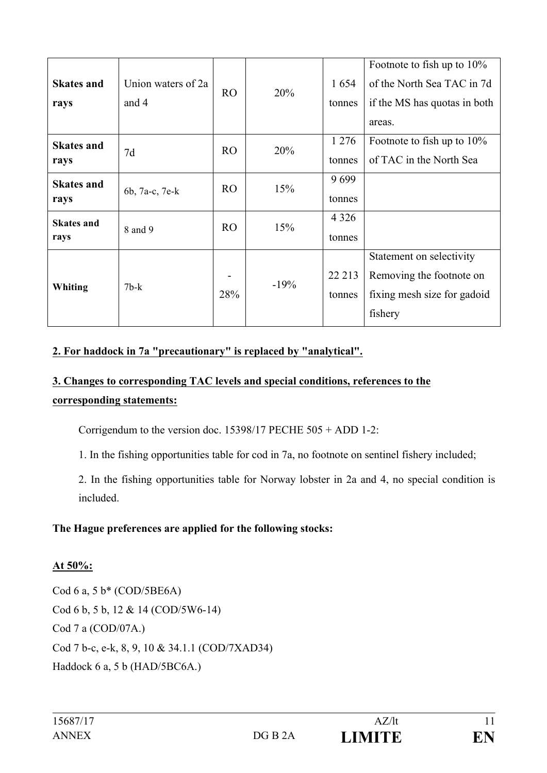| <b>Skates and</b><br>rays | Union waters of 2a<br>and 4 | R <sub>O</sub> | 20%    | 1654<br>tonnes    | Footnote to fish up to 10%<br>of the North Sea TAC in 7d<br>if the MS has quotas in both<br>areas. |
|---------------------------|-----------------------------|----------------|--------|-------------------|----------------------------------------------------------------------------------------------------|
| <b>Skates and</b><br>rays | 7d                          | R <sub>O</sub> | 20%    | 1 2 7 6<br>tonnes | Footnote to fish up to $10\%$<br>of TAC in the North Sea                                           |
| <b>Skates and</b><br>rays | 6b, 7a-c, 7e-k              | R <sub>O</sub> | 15%    | 9699<br>tonnes    |                                                                                                    |
| <b>Skates and</b><br>rays | 8 and 9                     | R <sub>O</sub> | 15%    | 4 3 2 6<br>tonnes |                                                                                                    |
| Whiting                   | $7b-k$                      | 28%            | $-19%$ | 22 213<br>tonnes  | Statement on selectivity<br>Removing the footnote on<br>fixing mesh size for gadoid<br>fishery     |

### **2. For haddock in 7a "precautionary" is replaced by "analytical".**

# **3. Changes to corresponding TAC levels and special conditions, references to the corresponding statements:**

Corrigendum to the version doc. 15398/17 PECHE 505 + ADD 1-2:

1. In the fishing opportunities table for cod in 7a, no footnote on sentinel fishery included;

2. In the fishing opportunities table for Norway lobster in 2a and 4, no special condition is included.

### **The Hague preferences are applied for the following stocks:**

#### **At 50%:**

Cod 6 a, 5 b\* (COD/5BE6A) Cod 6 b, 5 b, 12 & 14 (COD/5W6-14) Cod 7 a (COD/07A.) Cod 7 b-c, e-k, 8, 9, 10 & 34.1.1 (COD/7XAD34) Haddock 6 a, 5 b (HAD/5BC6A.)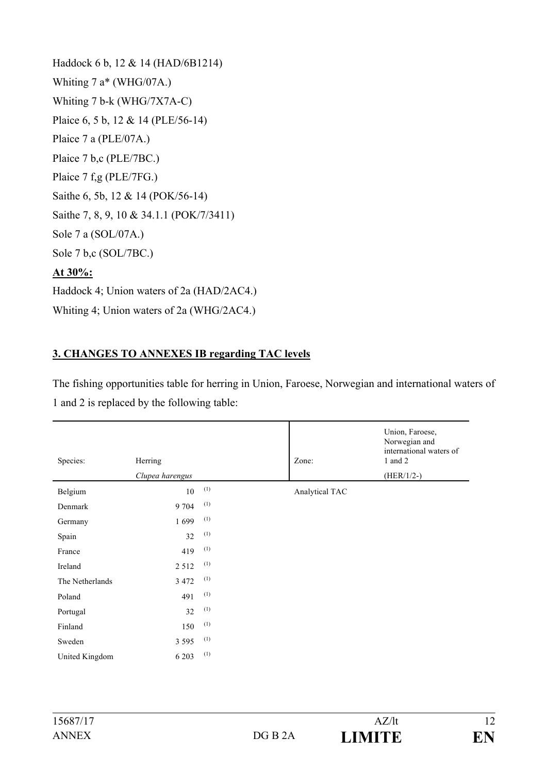Haddock 6 b, 12 & 14 (HAD/6B1214) Whiting 7 a\* (WHG/07A.) Whiting 7 b-k (WHG/7X7A-C) Plaice 6, 5 b, 12 & 14 (PLE/56-14) Plaice 7 a (PLE/07A.) Plaice 7 b,c (PLE/7BC.) Plaice 7 f,g (PLE/7FG.) Saithe 6, 5b, 12 & 14 (POK/56-14) Saithe 7, 8, 9, 10 & 34.1.1 (POK/7/3411) Sole 7 a (SOL/07A.) Sole 7 b,c (SOL/7BC.) **At 30%:** Haddock 4; Union waters of 2a (HAD/2AC4.) Whiting 4; Union waters of 2a (WHG/2AC4.)

### **3. CHANGES TO ANNEXES IB regarding TAC levels**

The fishing opportunities table for herring in Union, Faroese, Norwegian and international waters of 1 and 2 is replaced by the following table:

| Species:        | Herring         |     | Zone:          | Union, Faroese,<br>Norwegian and<br>international waters of<br>$1$ and $2$ |
|-----------------|-----------------|-----|----------------|----------------------------------------------------------------------------|
|                 | Clupea harengus |     |                | $(HER/1/2-)$                                                               |
| Belgium         | 10              | (1) | Analytical TAC |                                                                            |
| Denmark         | 9 704           | (1) |                |                                                                            |
| Germany         | 1699            | (1) |                |                                                                            |
| Spain           | 32              | (1) |                |                                                                            |
| France          | 419             | (1) |                |                                                                            |
| Ireland         | 2512            | (1) |                |                                                                            |
| The Netherlands | 3 4 7 2         | (1) |                |                                                                            |
| Poland          | 491             | (1) |                |                                                                            |
| Portugal        | 32              | (1) |                |                                                                            |
| Finland         | 150             | (1) |                |                                                                            |
| Sweden          | 3 5 9 5         | (1) |                |                                                                            |
| United Kingdom  | 6 2 0 3         | (1) |                |                                                                            |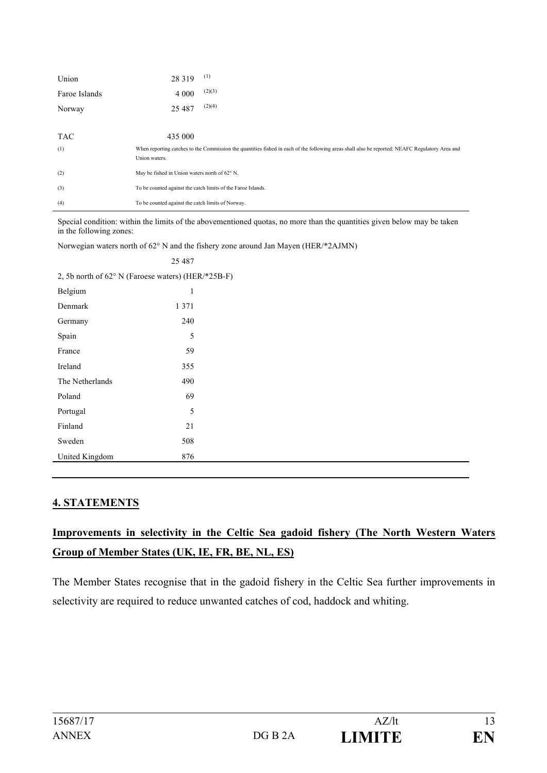| Union         | (1)<br>28 3 19                                                                                                                                  |  |  |  |
|---------------|-------------------------------------------------------------------------------------------------------------------------------------------------|--|--|--|
| Faroe Islands | (2)(3)<br>4 0 0 0                                                                                                                               |  |  |  |
| Norway        | (2)(4)<br>25 4 8 7                                                                                                                              |  |  |  |
|               |                                                                                                                                                 |  |  |  |
| <b>TAC</b>    | 435 000                                                                                                                                         |  |  |  |
| (1)           | When reporting catches to the Commission the quantities fished in each of the following areas shall also be reported: NEAFC Regulatory Area and |  |  |  |
|               | Union waters.                                                                                                                                   |  |  |  |
| (2)           | May be fished in Union waters north of 62° N.                                                                                                   |  |  |  |
| (3)           | To be counted against the catch limits of the Faroe Islands.                                                                                    |  |  |  |
| (4)           | To be counted against the catch limits of Norway.                                                                                               |  |  |  |

Special condition: within the limits of the abovementioned quotas, no more than the quantities given below may be taken in the following zones:

Norwegian waters north of 62° N and the fishery zone around Jan Mayen (HER/\*2AJMN)

|                                                    | 25 487  |  |  |  |  |
|----------------------------------------------------|---------|--|--|--|--|
| 2, 5b north of 62° N (Faroese waters) (HER/*25B-F) |         |  |  |  |  |
| Belgium                                            | 1       |  |  |  |  |
| Denmark                                            | 1 3 7 1 |  |  |  |  |
| Germany                                            | 240     |  |  |  |  |
| Spain                                              | 5       |  |  |  |  |
| France                                             | 59      |  |  |  |  |
| Ireland                                            | 355     |  |  |  |  |
| The Netherlands                                    | 490     |  |  |  |  |
| Poland                                             | 69      |  |  |  |  |
| Portugal                                           | 5       |  |  |  |  |
| Finland                                            | 21      |  |  |  |  |
| Sweden                                             | 508     |  |  |  |  |
| United Kingdom                                     | 876     |  |  |  |  |
|                                                    |         |  |  |  |  |

#### **4. STATEMENTS**

# **Improvements in selectivity in the Celtic Sea gadoid fishery (The North Western Waters Group of Member States (UK, IE, FR, BE, NL, ES)**

The Member States recognise that in the gadoid fishery in the Celtic Sea further improvements in selectivity are required to reduce unwanted catches of cod, haddock and whiting.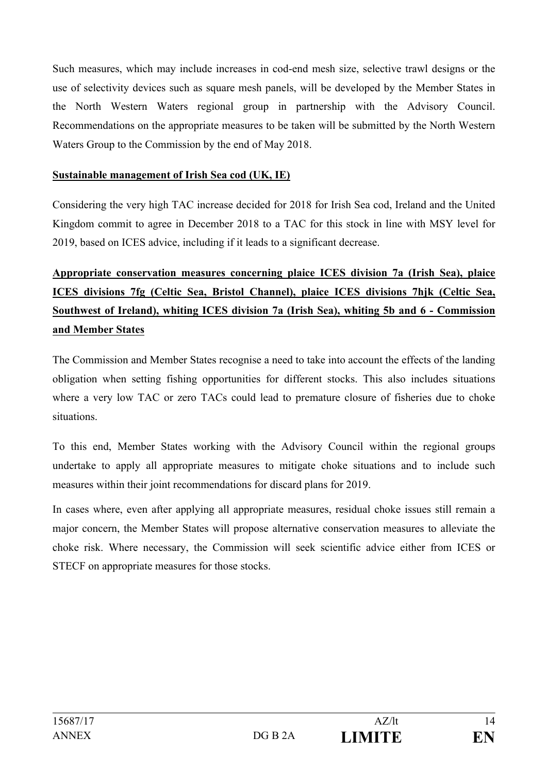Such measures, which may include increases in cod-end mesh size, selective trawl designs or the use of selectivity devices such as square mesh panels, will be developed by the Member States in the North Western Waters regional group in partnership with the Advisory Council. Recommendations on the appropriate measures to be taken will be submitted by the North Western Waters Group to the Commission by the end of May 2018.

#### **Sustainable management of Irish Sea cod (UK, IE)**

Considering the very high TAC increase decided for 2018 for Irish Sea cod, Ireland and the United Kingdom commit to agree in December 2018 to a TAC for this stock in line with MSY level for 2019, based on ICES advice, including if it leads to a significant decrease.

# **Appropriate conservation measures concerning plaice ICES division 7a (Irish Sea), plaice ICES divisions 7fg (Celtic Sea, Bristol Channel), plaice ICES divisions 7hjk (Celtic Sea, Southwest of Ireland), whiting ICES division 7a (Irish Sea), whiting 5b and 6 - Commission and Member States**

The Commission and Member States recognise a need to take into account the effects of the landing obligation when setting fishing opportunities for different stocks. This also includes situations where a very low TAC or zero TACs could lead to premature closure of fisheries due to choke situations.

To this end, Member States working with the Advisory Council within the regional groups undertake to apply all appropriate measures to mitigate choke situations and to include such measures within their joint recommendations for discard plans for 2019.

In cases where, even after applying all appropriate measures, residual choke issues still remain a major concern, the Member States will propose alternative conservation measures to alleviate the choke risk. Where necessary, the Commission will seek scientific advice either from ICES or STECF on appropriate measures for those stocks.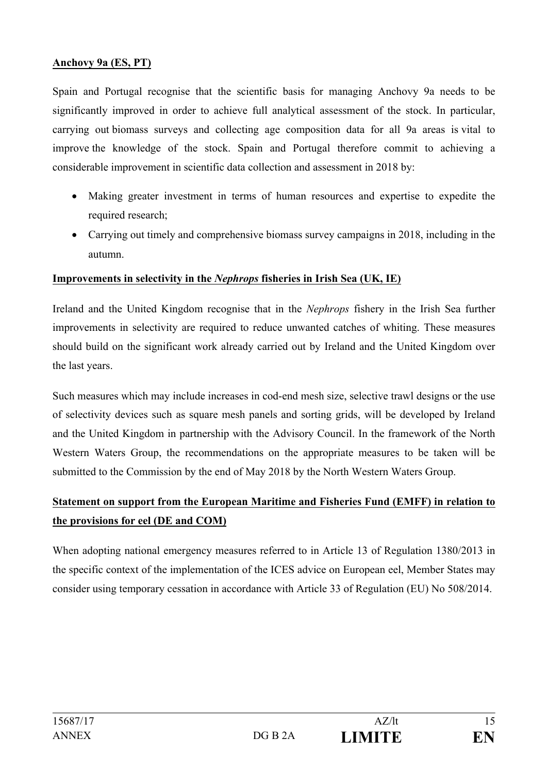#### **Anchovy 9a (ES, PT)**

Spain and Portugal recognise that the scientific basis for managing Anchovy 9a needs to be significantly improved in order to achieve full analytical assessment of the stock. In particular, carrying out biomass surveys and collecting age composition data for all 9a areas is vital to improve the knowledge of the stock. Spain and Portugal therefore commit to achieving a considerable improvement in scientific data collection and assessment in 2018 by:

- Making greater investment in terms of human resources and expertise to expedite the required research;
- Carrying out timely and comprehensive biomass survey campaigns in 2018, including in the autumn.

#### **Improvements in selectivity in the** *Nephrops* **fisheries in Irish Sea (UK, IE)**

Ireland and the United Kingdom recognise that in the *Nephrops* fishery in the Irish Sea further improvements in selectivity are required to reduce unwanted catches of whiting. These measures should build on the significant work already carried out by Ireland and the United Kingdom over the last years.

Such measures which may include increases in cod-end mesh size, selective trawl designs or the use of selectivity devices such as square mesh panels and sorting grids, will be developed by Ireland and the United Kingdom in partnership with the Advisory Council. In the framework of the North Western Waters Group, the recommendations on the appropriate measures to be taken will be submitted to the Commission by the end of May 2018 by the North Western Waters Group.

### **Statement on support from the European Maritime and Fisheries Fund (EMFF) in relation to the provisions for eel (DE and COM)**

When adopting national emergency measures referred to in Article 13 of Regulation 1380/2013 in the specific context of the implementation of the ICES advice on European eel, Member States may consider using temporary cessation in accordance with Article 33 of Regulation (EU) No 508/2014.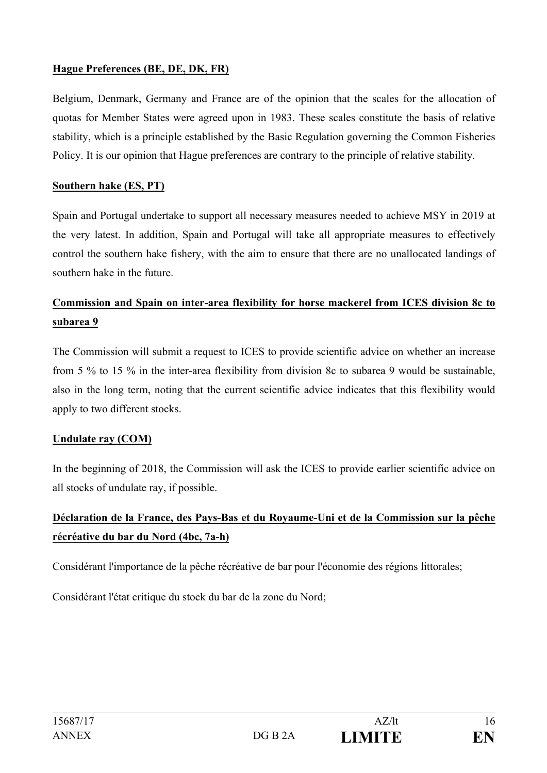### **Hague Preferences (BE, DE, DK, FR)**

Belgium, Denmark, Germany and France are of the opinion that the scales for the allocation of quotas for Member States were agreed upon in 1983. These scales constitute the basis of relative stability, which is a principle established by the Basic Regulation governing the Common Fisheries Policy. It is our opinion that Hague preferences are contrary to the principle of relative stability.

### **Southern hake (ES, PT)**

Spain and Portugal undertake to support all necessary measures needed to achieve MSY in 2019 at the very latest. In addition, Spain and Portugal will take all appropriate measures to effectively control the southern hake fishery, with the aim to ensure that there are no unallocated landings of southern hake in the future.

# **Commission and Spain on inter-area flexibility for horse mackerel from ICES division 8c to subarea 9**

The Commission will submit a request to ICES to provide scientific advice on whether an increase from 5 % to 15 % in the inter-area flexibility from division 8c to subarea 9 would be sustainable, also in the long term, noting that the current scientific advice indicates that this flexibility would apply to two different stocks.

### **Undulate ray (COM)**

In the beginning of 2018, the Commission will ask the ICES to provide earlier scientific advice on all stocks of undulate ray, if possible.

# **Déclaration de la France, des Pays-Bas et du Royaume-Uni et de la Commission sur la pêche récréative du bar du Nord (4bc, 7a-h)**

Considérant l'importance de la pêche récréative de bar pour l'économie des régions littorales;

Considérant l'état critique du stock du bar de la zone du Nord;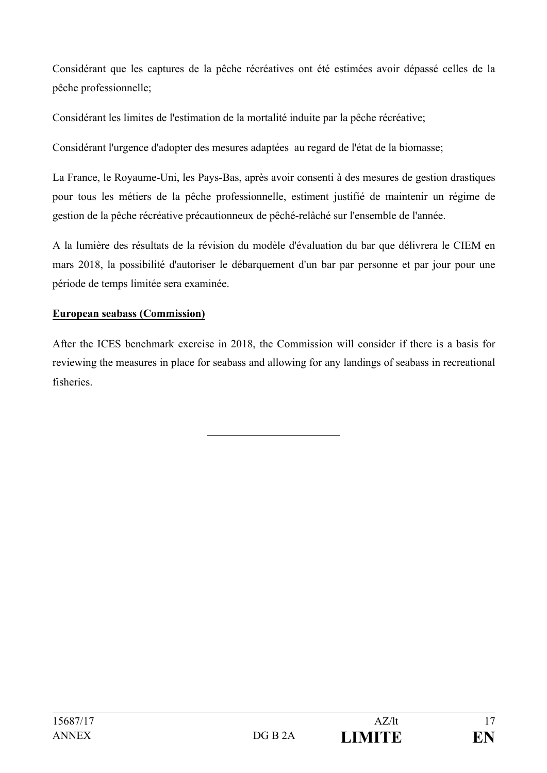Considérant que les captures de la pêche récréatives ont été estimées avoir dépassé celles de la pêche professionnelle;

Considérant les limites de l'estimation de la mortalité induite par la pêche récréative;

Considérant l'urgence d'adopter des mesures adaptées au regard de l'état de la biomasse;

La France, le Royaume-Uni, les Pays-Bas, après avoir consenti à des mesures de gestion drastiques pour tous les métiers de la pêche professionnelle, estiment justifié de maintenir un régime de gestion de la pêche récréative précautionneux de pêché-relâché sur l'ensemble de l'année.

A la lumière des résultats de la révision du modèle d'évaluation du bar que délivrera le CIEM en mars 2018, la possibilité d'autoriser le débarquement d'un bar par personne et par jour pour une période de temps limitée sera examinée.

#### **European seabass (Commission)**

After the ICES benchmark exercise in 2018, the Commission will consider if there is a basis for reviewing the measures in place for seabass and allowing for any landings of seabass in recreational fisheries.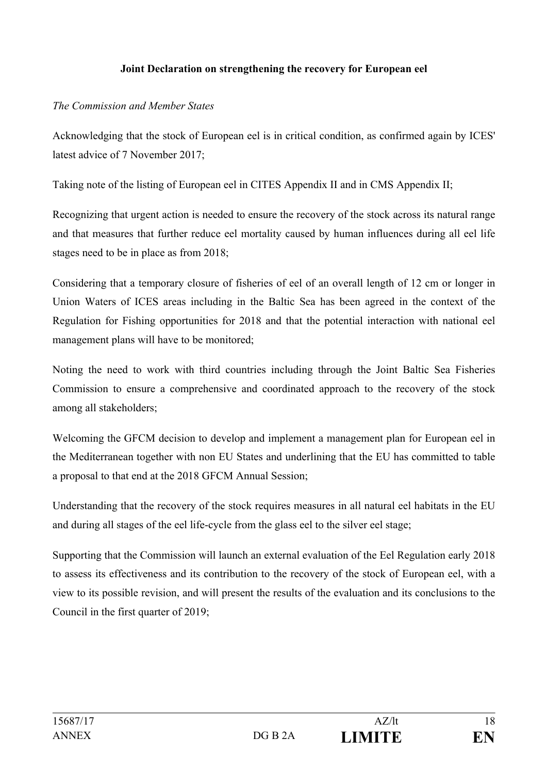#### **Joint Declaration on strengthening the recovery for European eel**

#### *The Commission and Member States*

Acknowledging that the stock of European eel is in critical condition, as confirmed again by ICES' latest advice of 7 November 2017;

Taking note of the listing of European eel in CITES Appendix II and in CMS Appendix II;

Recognizing that urgent action is needed to ensure the recovery of the stock across its natural range and that measures that further reduce eel mortality caused by human influences during all eel life stages need to be in place as from 2018;

Considering that a temporary closure of fisheries of eel of an overall length of 12 cm or longer in Union Waters of ICES areas including in the Baltic Sea has been agreed in the context of the Regulation for Fishing opportunities for 2018 and that the potential interaction with national eel management plans will have to be monitored;

Noting the need to work with third countries including through the Joint Baltic Sea Fisheries Commission to ensure a comprehensive and coordinated approach to the recovery of the stock among all stakeholders;

Welcoming the GFCM decision to develop and implement a management plan for European eel in the Mediterranean together with non EU States and underlining that the EU has committed to table a proposal to that end at the 2018 GFCM Annual Session;

Understanding that the recovery of the stock requires measures in all natural eel habitats in the EU and during all stages of the eel life-cycle from the glass eel to the silver eel stage;

Supporting that the Commission will launch an external evaluation of the Eel Regulation early 2018 to assess its effectiveness and its contribution to the recovery of the stock of European eel, with a view to its possible revision, and will present the results of the evaluation and its conclusions to the Council in the first quarter of 2019;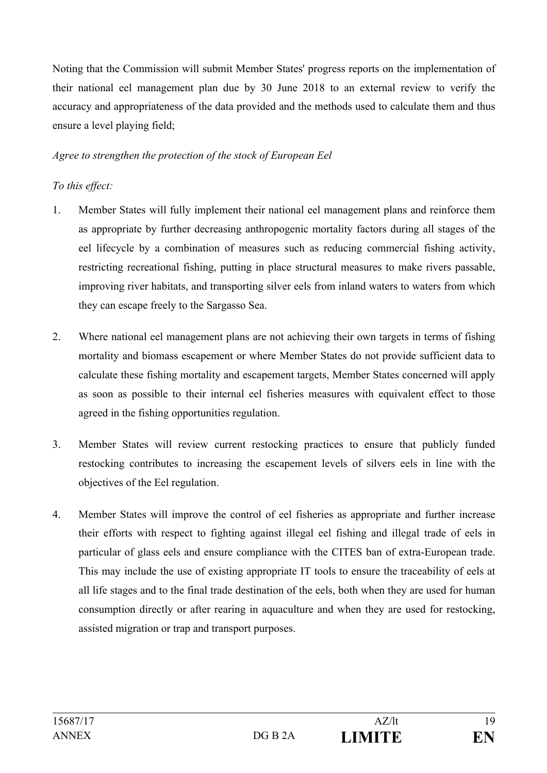Noting that the Commission will submit Member States' progress reports on the implementation of their national eel management plan due by 30 June 2018 to an external review to verify the accuracy and appropriateness of the data provided and the methods used to calculate them and thus ensure a level playing field;

### *Agree to strengthen the protection of the stock of European Eel*

### *To this effect:*

- 1. Member States will fully implement their national eel management plans and reinforce them as appropriate by further decreasing anthropogenic mortality factors during all stages of the eel lifecycle by a combination of measures such as reducing commercial fishing activity, restricting recreational fishing, putting in place structural measures to make rivers passable, improving river habitats, and transporting silver eels from inland waters to waters from which they can escape freely to the Sargasso Sea.
- 2. Where national eel management plans are not achieving their own targets in terms of fishing mortality and biomass escapement or where Member States do not provide sufficient data to calculate these fishing mortality and escapement targets, Member States concerned will apply as soon as possible to their internal eel fisheries measures with equivalent effect to those agreed in the fishing opportunities regulation.
- 3. Member States will review current restocking practices to ensure that publicly funded restocking contributes to increasing the escapement levels of silvers eels in line with the objectives of the Eel regulation.
- 4. Member States will improve the control of eel fisheries as appropriate and further increase their efforts with respect to fighting against illegal eel fishing and illegal trade of eels in particular of glass eels and ensure compliance with the CITES ban of extra-European trade. This may include the use of existing appropriate IT tools to ensure the traceability of eels at all life stages and to the final trade destination of the eels, both when they are used for human consumption directly or after rearing in aquaculture and when they are used for restocking, assisted migration or trap and transport purposes.